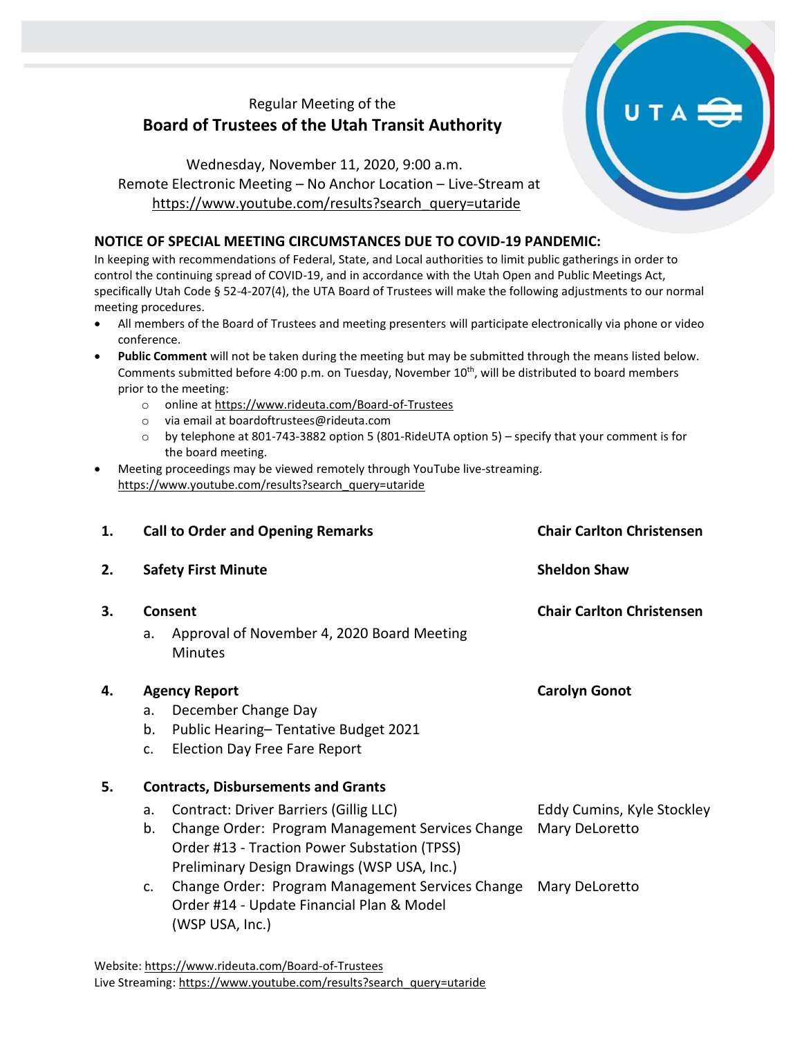## Regular Meeting of the **Board of Trustees of the Utah Transit Authority**

Wednesday, November 11, 2020, 9:00 a.m. Remote Electronic Meeting – No Anchor Location – Live-Stream at [https://www.youtube.com/results?search\\_query=utaride](https://www.youtube.com/results?search_query=utaride)

## **NOTICE OF SPECIAL MEETING CIRCUMSTANCES DUE TO COVID-19 PANDEMIC:**

In keeping with recommendations of Federal, State, and Local authorities to limit public gatherings in order to control the continuing spread of COVID-19, and in accordance with the Utah Open and Public Meetings Act, specifically Utah Code § 52-4-207(4), the UTA Board of Trustees will make the following adjustments to our normal meeting procedures.

- All members of the Board of Trustees and meeting presenters will participate electronically via phone or video conference.
- **Public Comment** will not be taken during the meeting but may be submitted through the means listed below. Comments submitted before 4:00 p.m. on Tuesday, November 10<sup>th</sup>, will be distributed to board members prior to the meeting:
	- o online at<https://www.rideuta.com/Board-of-Trustees>
	- o via email at [boardoftrustees@rideuta.com](mailto:boardoftrustees@rideuta.com)
	- o by telephone at 801-743-3882 option 5 (801-RideUTA option 5) specify that your comment is for the board meeting.
- Meeting proceedings may be viewed remotely through YouTube live-streaming. [https://www.youtube.com/results?search\\_query=utaride](https://www.youtube.com/results?search_query=utaride)

| 1. |                            | <b>Call to Order and Opening Remarks</b>                     | <b>Chair Carlton Christensen</b> |  |
|----|----------------------------|--------------------------------------------------------------|----------------------------------|--|
| 2. | <b>Safety First Minute</b> |                                                              | <b>Sheldon Shaw</b>              |  |
| 3. | Consent                    |                                                              | <b>Chair Carlton Christensen</b> |  |
|    | a.                         | Approval of November 4, 2020 Board Meeting<br><b>Minutes</b> |                                  |  |
| 4. | <b>Agency Report</b>       |                                                              | <b>Carolyn Gonot</b>             |  |
|    | a.                         | December Change Day                                          |                                  |  |
|    | b.                         | Public Hearing-Tentative Budget 2021                         |                                  |  |
|    | c.                         | <b>Election Day Free Fare Report</b>                         |                                  |  |
| 5. |                            | <b>Contracts, Disbursements and Grants</b>                   |                                  |  |
|    | a.                         | Contract: Driver Barriers (Gillig LLC)                       | Eddy Cumins, Kyle Stockley       |  |
|    | b.                         | Change Order: Program Management Services Change             | Mary DeLoretto                   |  |
|    |                            | Order #13 - Traction Power Substation (TPSS)                 |                                  |  |
|    |                            | Preliminary Design Drawings (WSP USA, Inc.)                  |                                  |  |
|    | c.                         | Change Order: Program Management Services Change             | Mary DeLoretto                   |  |
|    |                            | Order #14 - Update Financial Plan & Model                    |                                  |  |
|    |                            | (WSP USA, Inc.)                                              |                                  |  |